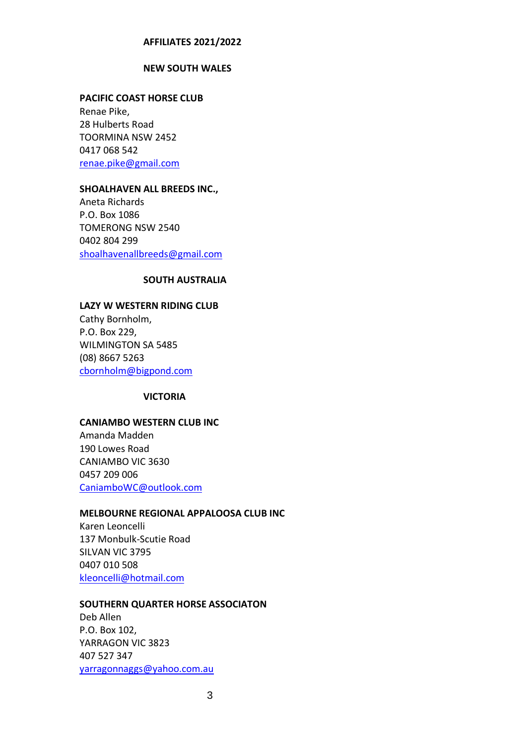#### **AFFILIATES 2021/2022**

#### **NEW SOUTH WALES**

#### **PACIFIC COAST HORSE CLUB**

Renae Pike, 28 Hulberts Road TOORMINA NSW 2452 0417 068 542 [renae.pike@gmail.com](mailto:renae.pike@gmail.com)

#### **SHOALHAVEN ALL BREEDS INC.,**

Aneta Richards P.O. Box 1086 TOMERONG NSW 2540 0402 804 299 [shoalhavenallbreeds@gmail.com](mailto:shoalhavenallbreeds@gmail.com)

# **SOUTH AUSTRALIA**

## **LAZY W WESTERN RIDING CLUB**

Cathy Bornholm, P.O. Box 229, WILMINGTON SA 5485 (08) 8667 5263 [cbornholm@bigpond.com](mailto:cbornholm@bigpond.com)

#### **VICTORIA**

# **CANIAMBO WESTERN CLUB INC**

Amanda Madden 190 Lowes Road CANIAMBO VIC 3630 0457 209 006 [CaniamboWC@outlook.com](mailto:CaniamboWC@outlook.com)

## **MELBOURNE REGIONAL APPALOOSA CLUB INC**

Karen Leoncelli 137 Monbulk-Scutie Road SILVAN VIC 3795 0407 010 508 [kleoncelli@hotmail.com](mailto:kleoncelli@hotmail.com)

#### **SOUTHERN QUARTER HORSE ASSOCIATON**

Deb Allen P.O. Box 102, YARRAGON VIC 3823 407 527 347 [yarragonnaggs@yahoo.com.au](mailto:yarragonnaggs@yahoo.com.au)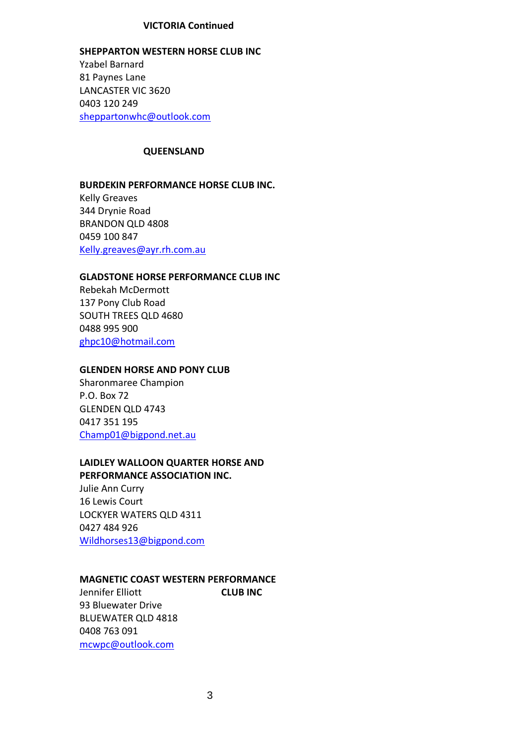## **VICTORIA Continued**

**SHEPPARTON WESTERN HORSE CLUB INC** Yzabel Barnard 81 Paynes Lane LANCASTER VIC 3620 0403 120 249 [sheppartonwhc@outlook.com](mailto:sheppartonwhc@outlook.com)

### **QUEENSLAND**

# **BURDEKIN PERFORMANCE HORSE CLUB INC.**

Kelly Greaves 344 Drynie Road BRANDON QLD 4808 0459 100 847 [Kelly.greaves@ayr.rh.com.au](mailto:Kelly.greaves@ayr.rh.com.au)

# **GLADSTONE HORSE PERFORMANCE CLUB INC**

Rebekah McDermott 137 Pony Club Road SOUTH TREES QLD 4680 0488 995 900 [ghpc10@hotmail.com](mailto:ghpc10@hotmail.com)

#### **GLENDEN HORSE AND PONY CLUB**

Sharonmaree Champion P.O. Box 72 GLENDEN QLD 4743 0417 351 195 [Champ01@bigpond.net.au](mailto:Champ01@bigpond.net.au)

# **LAIDLEY WALLOON QUARTER HORSE AND PERFORMANCE ASSOCIATION INC.**

Julie Ann Curry 16 Lewis Court LOCKYER WATERS QLD 4311 0427 484 926 [Wildhorses13@bigpond.com](mailto:Wildhorses13@bigpond.com)

## **MAGNETIC COAST WESTERN PERFORMANCE**

Jennifer Elliott **CLUB INC** 93 Bluewater Drive BLUEWATER QLD 4818 0408 763 091 [mcwpc@outlook.com](mailto:kleoncelli@hotmail.com)